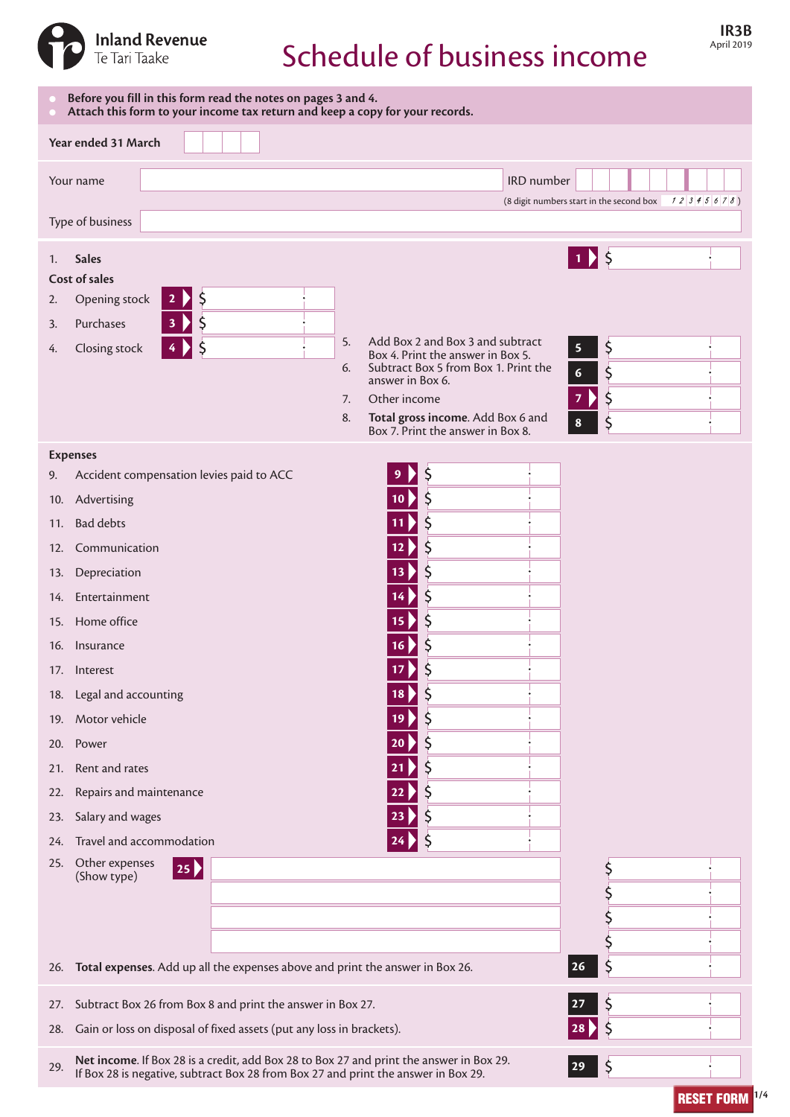

# Schedule of business income

| Before you fill in this form read the notes on pages 3 and 4.<br>Attach this form to your income tax return and keep a copy for your records.                                                                   |                                                                                                           |  |
|-----------------------------------------------------------------------------------------------------------------------------------------------------------------------------------------------------------------|-----------------------------------------------------------------------------------------------------------|--|
| Year ended 31 March                                                                                                                                                                                             |                                                                                                           |  |
| Your name                                                                                                                                                                                                       | IRD number                                                                                                |  |
| (8 digit numbers start in the second box<br>12345678<br>Type of business                                                                                                                                        |                                                                                                           |  |
|                                                                                                                                                                                                                 |                                                                                                           |  |
| <b>Sales</b><br>1.<br>Cost of sales                                                                                                                                                                             | $1)$ \$                                                                                                   |  |
| Ş<br>Opening stock<br>2.<br>$\mathbf{z}$                                                                                                                                                                        |                                                                                                           |  |
| \$<br>Purchases<br>3.                                                                                                                                                                                           |                                                                                                           |  |
| Closing stock<br>4.                                                                                                                                                                                             | Add Box 2 and Box 3 and subtract<br>5.<br>\$<br>5                                                         |  |
|                                                                                                                                                                                                                 | Box 4. Print the answer in Box 5.<br>Subtract Box 5 from Box 1. Print the<br>6.<br>\$<br>$\boldsymbol{6}$ |  |
|                                                                                                                                                                                                                 | answer in Box 6.<br>\$<br>Other income<br>7<br>7.                                                         |  |
|                                                                                                                                                                                                                 | Total gross income. Add Box 6 and<br>8.<br>$\zeta$<br>8                                                   |  |
|                                                                                                                                                                                                                 | Box 7. Print the answer in Box 8.                                                                         |  |
| <b>Expenses</b>                                                                                                                                                                                                 |                                                                                                           |  |
| Accident compensation levies paid to ACC<br>9.                                                                                                                                                                  | 9                                                                                                         |  |
| 10. Advertising                                                                                                                                                                                                 | $\zeta$<br>10 <sub>2</sub>                                                                                |  |
| <b>Bad debts</b><br>11.                                                                                                                                                                                         |                                                                                                           |  |
| Communication<br>12.                                                                                                                                                                                            | S<br>12 <sub>b</sub>                                                                                      |  |
| Depreciation<br>13.                                                                                                                                                                                             | 13                                                                                                        |  |
| Entertainment<br>14.                                                                                                                                                                                            | $\mathsf{S}$                                                                                              |  |
| Home office<br>15.                                                                                                                                                                                              | 15                                                                                                        |  |
| Insurance<br>16.                                                                                                                                                                                                | \$<br>16                                                                                                  |  |
| 17. Interest                                                                                                                                                                                                    | 17                                                                                                        |  |
| 18. Legal and accounting                                                                                                                                                                                        | S<br>18.                                                                                                  |  |
| Motor vehicle<br>19.                                                                                                                                                                                            | Ş<br>19                                                                                                   |  |
| Power<br>20.                                                                                                                                                                                                    | Ş<br>20                                                                                                   |  |
| Rent and rates<br>21.                                                                                                                                                                                           | Ş<br>21                                                                                                   |  |
| Repairs and maintenance<br>22.                                                                                                                                                                                  | 22                                                                                                        |  |
| Salary and wages<br>23.                                                                                                                                                                                         | 23                                                                                                        |  |
| Travel and accommodation<br>24.                                                                                                                                                                                 | Ş                                                                                                         |  |
| 25. Other expenses<br>$ 25 \rangle$                                                                                                                                                                             | \$                                                                                                        |  |
| (Show type)                                                                                                                                                                                                     |                                                                                                           |  |
|                                                                                                                                                                                                                 |                                                                                                           |  |
|                                                                                                                                                                                                                 |                                                                                                           |  |
| Total expenses. Add up all the expenses above and print the answer in Box 26.<br>26.                                                                                                                            | \$<br>  26                                                                                                |  |
| Subtract Box 26 from Box 8 and print the answer in Box 27.<br>27.                                                                                                                                               | Ş<br>27                                                                                                   |  |
| Gain or loss on disposal of fixed assets (put any loss in brackets).<br>28.                                                                                                                                     | $\mathsf{S}$<br>28                                                                                        |  |
| Net income. If Box 28 is a credit, add Box 28 to Box 27 and print the answer in Box 29.<br>$\zeta$<br>29.<br>$ 29\rangle$<br>If Box 28 is negative, subtract Box 28 from Box 27 and print the answer in Box 29. |                                                                                                           |  |

**RESET FORM**  $1/4$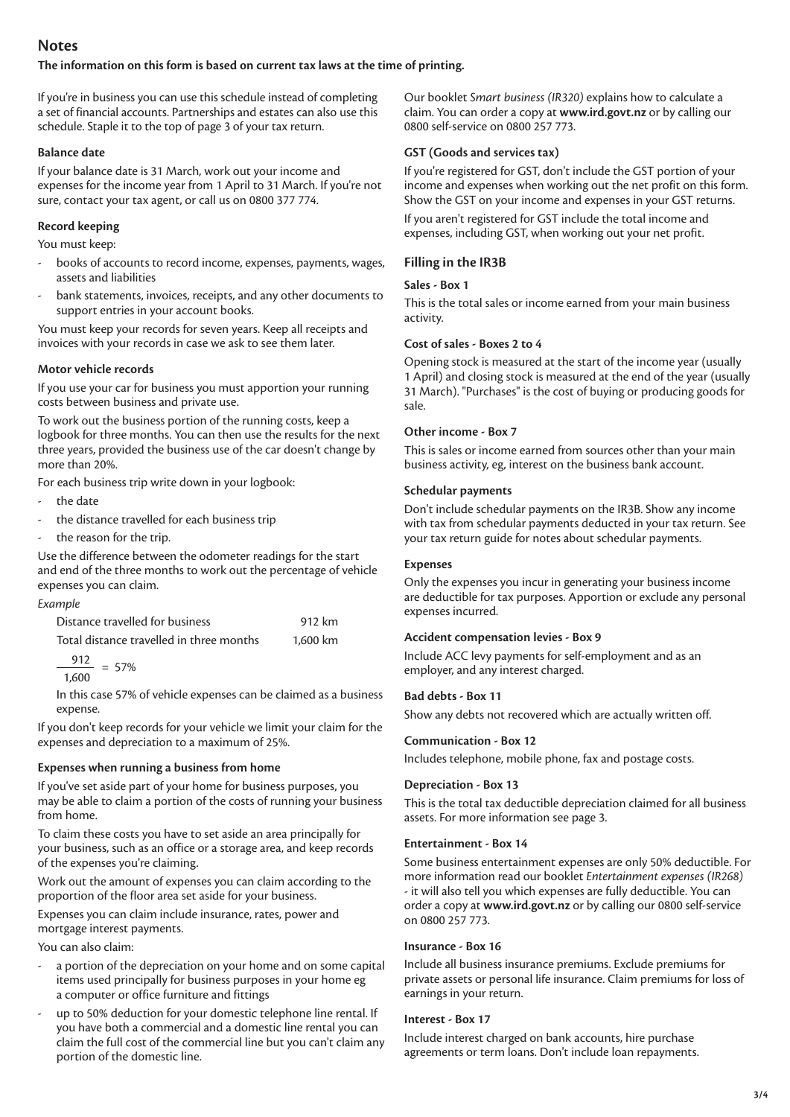# **Notes**

#### **The information on this form is based on current tax laws at the time of printing.**

If you're in business you can use this schedule instead of completing a set of financial accounts. Partnerships and estates can also use this schedule. Staple it to the top of page 3 of your tax return.

#### **Balance date**

If your balance date is 31 March, work out your income and expenses for the income year from 1 April to 31 March. If you're not sure, contact your tax agent, or call us on 0800 377 774.

## **Record keeping**

You must keep:

- books of accounts to record income, expenses, payments, wages, assets and liabilities
- bank statements, invoices, receipts, and any other documents to support entries in your account books.

You must keep your records for seven years. Keep all receipts and invoices with your records in case we ask to see them later.

## **Motor vehicle records**

If you use your car for business you must apportion your running costs between business and private use.

To work out the business portion of the running costs, keep a logbook for three months. You can then use the results for the next three years, provided the business use of the car doesn't change by more than 20%.

For each business trip write down in your logbook:

- the date
- the distance travelled for each business trip
- the reason for the trip.

Use the difference between the odometer readings for the start and end of the three months to work out the percentage of vehicle expenses you can claim.

| Example                                  |          |
|------------------------------------------|----------|
| Distance travelled for business          | 912 km   |
| Total distance travelled in three months | 1.600 km |

$$
\frac{912}{10} = 57\%
$$

1,600

In this case 57% of vehicle expenses can be claimed as a business expense.

If you don't keep records for your vehicle we limit your claim for the expenses and depreciation to a maximum of 25%.

## **Expenses when running a business from home**

If you've set aside part of your home for business purposes, you may be able to claim a portion of the costs of running your business from home.

To claim these costs you have to set aside an area principally for your business, such as an office or a storage area, and keep records of the expenses you're claiming.

Work out the amount of expenses you can claim according to the proportion of the floor area set aside for your business.

Expenses you can claim include insurance, rates, power and mortgage interest payments.

You can also claim:

- a portion of the depreciation on your home and on some capital items used principally for business purposes in your home eg a computer or office furniture and fittings
- up to 50% deduction for your domestic telephone line rental. If you have both a commercial and a domestic line rental you can claim the full cost of the commercial line but you can't claim any portion of the domestic line.

Our booklet *Smart business (IR320)* explains how to calculate a claim. You can order a copy at **[www.ird.govt.nz](http://www.ird.govt.nz)** or by calling our 0800 self-service on 0800 257 773.

## **GST (Goods and services tax)**

If you're registered for GST, don't include the GST portion of your income and expenses when working out the net profit on this form. Show the GST on your income and expenses in your GST returns. If you aren't registered for GST include the total income and expenses, including GST, when working out your net profit.

## **Filling in the IR3B**

## **Sales - Box 1**

This is the total sales or income earned from your main business activity.

## **Cost of sales - Boxes 2 to 4**

Opening stock is measured at the start of the income year (usually 1 April) and closing stock is measured at the end of the year (usually 31 March). "Purchases" is the cost of buying or producing goods for sale.

## **Other income - Box 7**

This is sales or income earned from sources other than your main business activity, eg, interest on the business bank account.

## **Schedular payments**

Don't include schedular payments on the IR3B. Show any income with tax from schedular payments deducted in your tax return. See your tax return guide for notes about schedular payments.

## **Expenses**

Only the expenses you incur in generating your business income are deductible for tax purposes. Apportion or exclude any personal expenses incurred.

#### **Accident compensation levies - Box 9**

Include ACC levy payments for self-employment and as an employer, and any interest charged.

## **Bad debts - Box 11**

Show any debts not recovered which are actually written off.

#### **Communication - Box 12**

Includes telephone, mobile phone, fax and postage costs.

#### **Depreciation - Box 13**

This is the total tax deductible depreciation claimed for all business assets. For more information see page 3.

#### **Entertainment - Box 14**

Some business entertainment expenses are only 50% deductible. For more information read our booklet *Entertainment expenses (IR268)* - it will also tell you which expenses are fully deductible. You can order a copy at **[www.ird.govt.nz](http://www.ird.govt.nz)** or by calling our 0800 self-service on 0800 257 773.

#### **Insurance - Box 16**

Include all business insurance premiums. Exclude premiums for private assets or personal life insurance. Claim premiums for loss of earnings in your return.

#### **Interest - Box 17**

Include interest charged on bank accounts, hire purchase agreements or term loans. Don't include loan repayments.